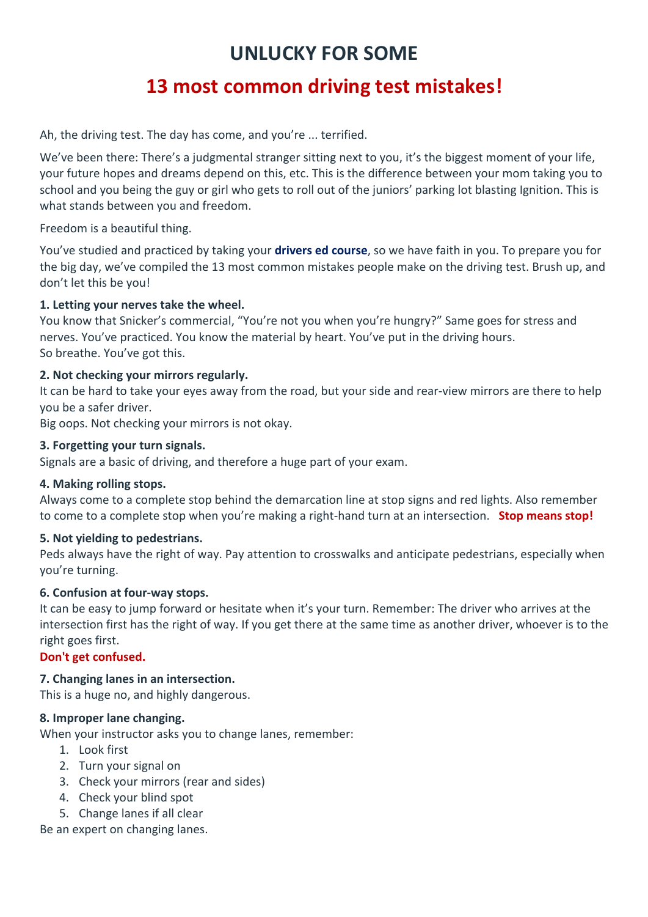# **UNLUCKY FOR SOME**

# **13 most common driving test mistakes!**

Ah, the driving test. The day has come, and you're ... terrified.

We've been there: There's a judgmental stranger sitting next to you, it's the biggest moment of your life, your future hopes and dreams depend on this, etc. This is the difference between your mom taking you to school and you being the guy or girl who gets to roll out of the juniors' parking lot blasting Ignition. This is what stands between you and freedom.

Freedom is a beautiful thing.

You've studied and practiced by taking your **drivers ed course**, so we have faith in you. To prepare you for the big day, we've compiled the 13 most common mistakes people make on the driving test. Brush up, and don't let this be you!

### **1. Letting your nerves take the wheel.**

You know that Snicker's commercial, "You're not you when you're hungry?" Same goes for stress and nerves. You've practiced. You know the material by heart. You've put in the driving hours. So breathe. You've got this.

# **2. Not checking your mirrors regularly.**

It can be hard to take your eyes away from the road, but your side and rear-view mirrors are there to help you be a safer driver.

Big oops. Not checking your mirrors is not okay.

### **3. Forgetting your turn signals.**

Signals are a basic of driving, and therefore a huge part of your exam.

#### **4. Making rolling stops.**

Always come to a complete stop behind the demarcation line at stop signs and red lights. Also remember to come to a complete stop when you're making a right-hand turn at an intersection. **Stop means stop!**

# **5. Not yielding to pedestrians.**

Peds always have the right of way. Pay attention to crosswalks and anticipate pedestrians, especially when you're turning.

# **6. Confusion at four-way stops.**

It can be easy to jump forward or hesitate when it's your turn. Remember: The driver who arrives at the intersection first has the right of way. If you get there at the same time as another driver, whoever is to the right goes first.

# **Don't get confused.**

# **7. Changing lanes in an intersection.**

This is a huge no, and highly dangerous.

#### **8. Improper lane changing.**

When your instructor asks you to change lanes, remember:

- 1. Look first
- 2. Turn your signal on
- 3. Check your mirrors (rear and sides)
- 4. Check your blind spot
- 5. Change lanes if all clear

Be an expert on changing lanes.